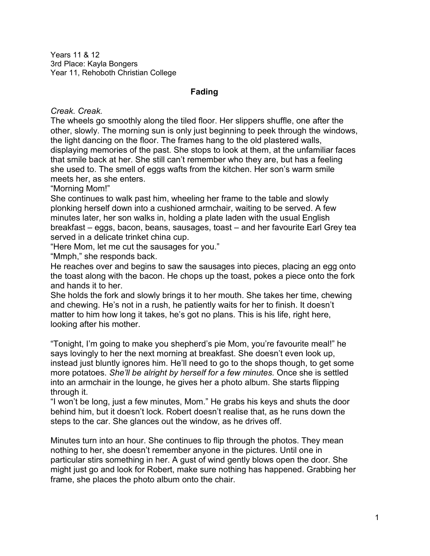Years 11 & 12 3rd Place: Kayla Bongers Year 11, Rehoboth Christian College

## **Fading**

*Creak. Creak.* 

The wheels go smoothly along the tiled floor. Her slippers shuffle, one after the other, slowly. The morning sun is only just beginning to peek through the windows, the light dancing on the floor. The frames hang to the old plastered walls, displaying memories of the past. She stops to look at them, at the unfamiliar faces that smile back at her. She still can't remember who they are, but has a feeling she used to. The smell of eggs wafts from the kitchen. Her son's warm smile meets her, as she enters.

"Morning Mom!"

She continues to walk past him, wheeling her frame to the table and slowly plonking herself down into a cushioned armchair, waiting to be served. A few minutes later, her son walks in, holding a plate laden with the usual English breakfast – eggs, bacon, beans, sausages, toast – and her favourite Earl Grey tea served in a delicate trinket china cup.

"Here Mom, let me cut the sausages for you."

"Mmph," she responds back.

He reaches over and begins to saw the sausages into pieces, placing an egg onto the toast along with the bacon. He chops up the toast, pokes a piece onto the fork and hands it to her.

She holds the fork and slowly brings it to her mouth. She takes her time, chewing and chewing. He's not in a rush, he patiently waits for her to finish. It doesn't matter to him how long it takes, he's got no plans. This is his life, right here, looking after his mother.

"Tonight, I'm going to make you shepherd's pie Mom, you're favourite meal!" he says lovingly to her the next morning at breakfast. She doesn't even look up, instead just bluntly ignores him. He'll need to go to the shops though, to get some more potatoes. *She'll be alright by herself for a few minutes.* Once she is settled into an armchair in the lounge, he gives her a photo album. She starts flipping through it.

"I won't be long, just a few minutes, Mom." He grabs his keys and shuts the door behind him, but it doesn't lock. Robert doesn't realise that, as he runs down the steps to the car. She glances out the window, as he drives off.

Minutes turn into an hour. She continues to flip through the photos. They mean nothing to her, she doesn't remember anyone in the pictures. Until one in particular stirs something in her. A gust of wind gently blows open the door. She might just go and look for Robert, make sure nothing has happened. Grabbing her frame, she places the photo album onto the chair.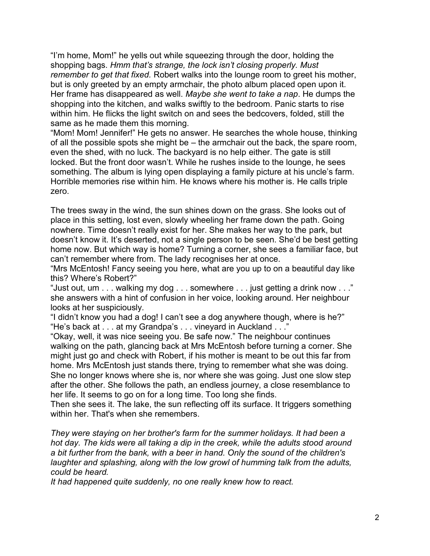"I'm home, Mom!" he yells out while squeezing through the door, holding the shopping bags. *Hmm that's strange, the lock isn't closing properly. Must remember to get that fixed.* Robert walks into the lounge room to greet his mother, but is only greeted by an empty armchair, the photo album placed open upon it. Her frame has disappeared as well. *Maybe she went to take a nap*. He dumps the shopping into the kitchen, and walks swiftly to the bedroom. Panic starts to rise within him. He flicks the light switch on and sees the bedcovers, folded, still the same as he made them this morning.

"Mom! Mom! Jennifer!" He gets no answer. He searches the whole house, thinking of all the possible spots she might be – the armchair out the back, the spare room, even the shed, with no luck. The backyard is no help either. The gate is still locked. But the front door wasn't. While he rushes inside to the lounge, he sees something. The album is lying open displaying a family picture at his uncle's farm. Horrible memories rise within him. He knows where his mother is. He calls triple zero.

The trees sway in the wind, the sun shines down on the grass. She looks out of place in this setting, lost even, slowly wheeling her frame down the path. Going nowhere. Time doesn't really exist for her. She makes her way to the park, but doesn't know it. It's deserted, not a single person to be seen. She'd be best getting home now. But which way is home? Turning a corner, she sees a familiar face, but can't remember where from. The lady recognises her at once.

"Mrs McEntosh! Fancy seeing you here, what are you up to on a beautiful day like this? Where's Robert?"

"Just out, um . . . walking my dog . . . somewhere . . . just getting a drink now . . ." she answers with a hint of confusion in her voice, looking around. Her neighbour looks at her suspiciously.

"I didn't know you had a dog! I can't see a dog anywhere though, where is he?" "He's back at . . . at my Grandpa's . . . vineyard in Auckland . . ."

"Okay, well, it was nice seeing you. Be safe now." The neighbour continues walking on the path, glancing back at Mrs McEntosh before turning a corner. She might just go and check with Robert, if his mother is meant to be out this far from home. Mrs McEntosh just stands there, trying to remember what she was doing. She no longer knows where she is, nor where she was going. Just one slow step after the other. She follows the path, an endless journey, a close resemblance to her life. It seems to go on for a long time. Too long she finds.

Then she sees it. The lake, the sun reflecting off its surface. It triggers something within her. That's when she remembers.

*They were staying on her brother's farm for the summer holidays. It had been a hot day. The kids were all taking a dip in the creek, while the adults stood around a bit further from the bank, with a beer in hand. Only the sound of the children's laughter and splashing, along with the low growl of humming talk from the adults, could be heard.*

*It had happened quite suddenly, no one really knew how to react.*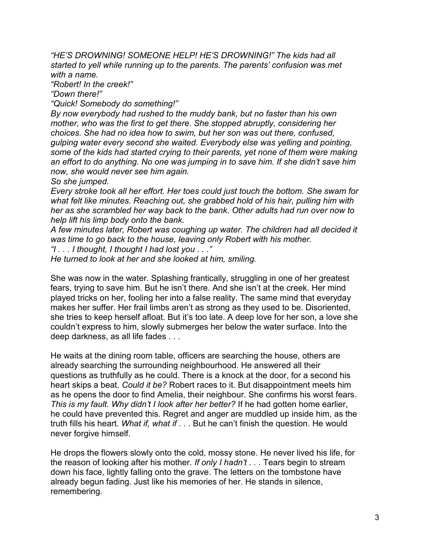*"HE'S DROWNING! SOMEONE HELP! HE'S DROWNING!" The kids had all started to yell while running up to the parents. The parents' confusion was met with a name.*

*"Robert! In the creek!"*

*"Down there!"*

*"Quick! Somebody do something!"*

*By now everybody had rushed to the muddy bank, but no faster than his own mother, who was the first to get there. She stopped abruptly, considering her choices. She had no idea how to swim, but her son was out there, confused, gulping water every second she waited. Everybody else was yelling and pointing, some of the kids had started crying to their parents, yet none of them were making an effort to do anything. No one was jumping in to save him. If she didn't save him now, she would never see him again.*

*So she jumped.*

*Every stroke took all her effort. Her toes could just touch the bottom. She swam for what felt like minutes. Reaching out, she grabbed hold of his hair, pulling him with her as she scrambled her way back to the bank. Other adults had run over now to help lift his limp body onto the bank.*

*A few minutes later, Robert was coughing up water. The children had all decided it was time to go back to the house, leaving only Robert with his mother.*

*"I . . . I thought, I thought I had lost you . . ."*

*He turned to look at her and she looked at him, smiling.*

She was now in the water. Splashing frantically, struggling in one of her greatest fears, trying to save him. But he isn't there. And she isn't at the creek. Her mind played tricks on her, fooling her into a false reality. The same mind that everyday makes her suffer. Her frail limbs aren't as strong as they used to be. Disoriented, she tries to keep herself afloat. But it's too late. A deep love for her son, a love she couldn't express to him, slowly submerges her below the water surface. Into the deep darkness, as all life fades . . .

He waits at the dining room table, officers are searching the house, others are already searching the surrounding neighbourhood. He answered all their questions as truthfully as he could. There is a knock at the door, for a second his heart skips a beat. *Could it be?* Robert races to it. But disappointment meets him as he opens the door to find Amelia, their neighbour. She confirms his worst fears. *This is my fault. Why didn't I look after her better?* If he had gotten home earlier, he could have prevented this. Regret and anger are muddled up inside him, as the truth fills his heart. *What if, what if . . .* But he can't finish the question. He would never forgive himself.

He drops the flowers slowly onto the cold, mossy stone. He never lived his life, for the reason of looking after his mother. *If only I hadn't . . .* Tears begin to stream down his face, lightly falling onto the grave. The letters on the tombstone have already begun fading. Just like his memories of her. He stands in silence, remembering.